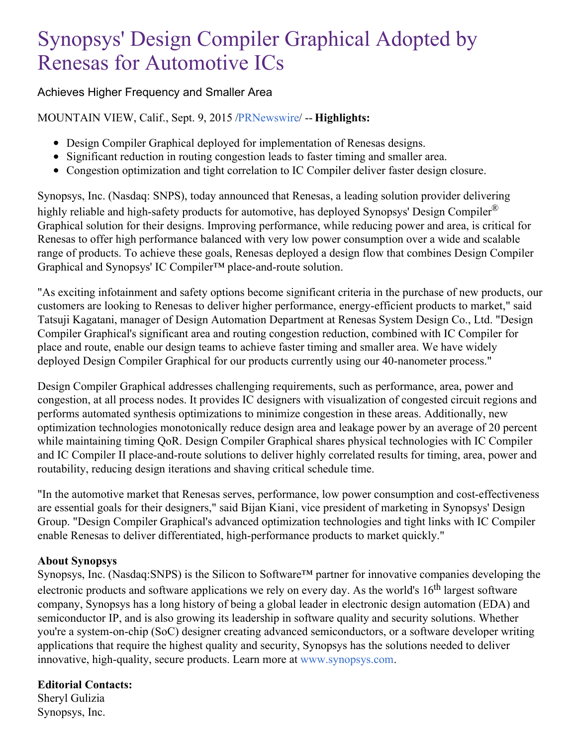## Synopsys' Design Compiler Graphical Adopted by Renesas for Automotive ICs

## Achieves Higher Frequency and Smaller Area

MOUNTAIN VIEW, Calif., Sept. 9, 2015 [/PRNewswire](http://www.prnewswire.com/)/ -- **Highlights:**

- Design Compiler Graphical deployed for implementation of Renesas designs.
- Significant reduction in routing congestion leads to faster timing and smaller area.
- Congestion optimization and tight correlation to IC Compiler deliver faster design closure.

Synopsys, Inc. (Nasdaq: SNPS), today announced that Renesas, a leading solution provider delivering highly reliable and high-safety products for automotive, has deployed Synopsys' Design Compiler<sup>®</sup> Graphical solution for their designs. Improving performance, while reducing power and area, is critical for Renesas to offer high performance balanced with very low power consumption over a wide and scalable range of products. To achieve these goals, Renesas deployed a design flow that combines Design Compiler Graphical and Synopsys' IC Compiler™ place-and-route solution.

"As exciting infotainment and safety options become significant criteria in the purchase of new products, our customers are looking to Renesas to deliver higher performance, energy-efficient products to market," said Tatsuji Kagatani, manager of Design Automation Department at Renesas System Design Co., Ltd. "Design Compiler Graphical's significant area and routing congestion reduction, combined with IC Compiler for place and route, enable our design teams to achieve faster timing and smaller area. We have widely deployed Design Compiler Graphical for our products currently using our 40-nanometer process."

Design Compiler Graphical addresses challenging requirements, such as performance, area, power and congestion, at all process nodes. It provides IC designers with visualization of congested circuit regions and performs automated synthesis optimizations to minimize congestion in these areas. Additionally, new optimization technologies monotonically reduce design area and leakage power by an average of 20 percent while maintaining timing QoR. Design Compiler Graphical shares physical technologies with IC Compiler and IC Compiler II place-and-route solutions to deliver highly correlated results for timing, area, power and routability, reducing design iterations and shaving critical schedule time.

"In the automotive market that Renesas serves, performance, low power consumption and cost-effectiveness are essential goals for their designers," said Bijan Kiani, vice president of marketing in Synopsys' Design Group. "Design Compiler Graphical's advanced optimization technologies and tight links with IC Compiler enable Renesas to deliver differentiated, high-performance products to market quickly."

## **About Synopsys**

Synopsys, Inc. (Nasdaq:SNPS) is the Silicon to Software™ partner for innovative companies developing the electronic products and software applications we rely on every day. As the world's 16<sup>th</sup> largest software company, Synopsys has a long history of being a global leader in electronic design automation (EDA) and semiconductor IP, and is also growing its leadership in software quality and security solutions. Whether you're a system-on-chip (SoC) designer creating advanced semiconductors, or a software developer writing applications that require the highest quality and security, Synopsys has the solutions needed to deliver innovative, high-quality, secure products. Learn more at [www.synopsys.com](http://www.synopsys.com/).

## **Editorial Contacts:**

Sheryl Gulizia Synopsys, Inc.